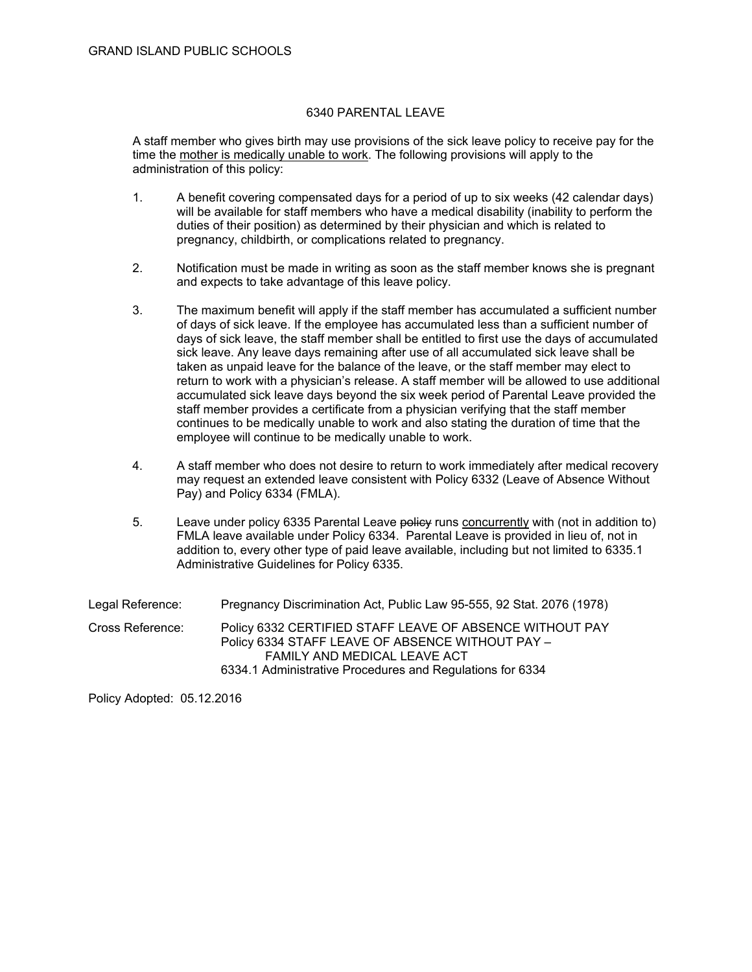## 6340 PARENTAL LEAVE

A staff member who gives birth may use provisions of the sick leave policy to receive pay for the time the mother is medically unable to work. The following provisions will apply to the administration of this policy:

- 1. A benefit covering compensated days for a period of up to six weeks (42 calendar days) will be available for staff members who have a medical disability (inability to perform the duties of their position) as determined by their physician and which is related to pregnancy, childbirth, or complications related to pregnancy.
- 2. Notification must be made in writing as soon as the staff member knows she is pregnant and expects to take advantage of this leave policy.
- 3. The maximum benefit will apply if the staff member has accumulated a sufficient number of days of sick leave. If the employee has accumulated less than a sufficient number of days of sick leave, the staff member shall be entitled to first use the days of accumulated sick leave. Any leave days remaining after use of all accumulated sick leave shall be taken as unpaid leave for the balance of the leave, or the staff member may elect to return to work with a physician's release. A staff member will be allowed to use additional accumulated sick leave days beyond the six week period of Parental Leave provided the staff member provides a certificate from a physician verifying that the staff member continues to be medically unable to work and also stating the duration of time that the employee will continue to be medically unable to work.
- 4. A staff member who does not desire to return to work immediately after medical recovery may request an extended leave consistent with Policy 6332 (Leave of Absence Without Pay) and Policy 6334 (FMLA).
- 5. Leave under policy 6335 Parental Leave policy runs concurrently with (not in addition to) FMLA leave available under Policy 6334. Parental Leave is provided in lieu of, not in addition to, every other type of paid leave available, including but not limited to 6335.1 Administrative Guidelines for Policy 6335.

| Legal Reference: | Pregnancy Discrimination Act, Public Law 95-555, 92 Stat. 2076 (1978)                                                                                                                                     |
|------------------|-----------------------------------------------------------------------------------------------------------------------------------------------------------------------------------------------------------|
| Cross Reference: | Policy 6332 CERTIFIED STAFF LEAVE OF ABSENCE WITHOUT PAY<br>Policy 6334 STAFF LEAVE OF ABSENCE WITHOUT PAY -<br>FAMILY AND MEDICAL LEAVE ACT<br>6334.1 Administrative Procedures and Regulations for 6334 |

Policy Adopted: 05.12.2016